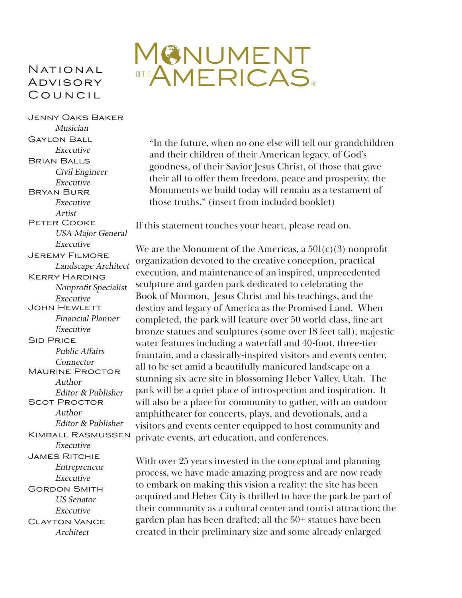#### **NATIONAL ADVISORY** Council

## MUMENT OFTHE AMERICAS

Jenny Oaks Baker Musician Gaylon Ball Executive Brian Balls Civil Engineer Executive Bryan Burr Executive Artist Peter Cooke USA Major General Executive Jeremy Filmore Landscape Architect Kerry Harding Nonprofit Specialist Executive John Hewlett Financial Planner Executive **SID PRICE** Public Affairs Connector Maurine Proctor Author Editor & Publisher Scot Proctor Author Editor & Publisher Kimball Rasmussen Executive James Ritchie Entrepreneur Executive Gordon Smith US Senator Executive Clayton Vance Architect

"In the future, when no one else will tell our grandchildren and their children of their American legacy, of God's goodness, of their Savior Jesus Christ, of those that gave their all to offer them freedom, peace and prosperity, the Monuments we build today will remain as a testament of those truths." (insert from included booklet)

If this statement touches your heart, please read on.

We are the Monument of the Americas, a  $501(c)(3)$  nonprofit organization devoted to the creative conception, practical execution, and maintenance of an inspired, unprecedented sculpture and garden park dedicated to celebrating the Book of Mormon, Jesus Christ and his teachings, and the destiny and legacy of America as the Promised Land. When completed, the park will feature over 50 world-class, fine art bronze statues and sculptures (some over 18 feet tall), majestic water features including a waterfall and 40-foot, three-tier fountain, and a classically-inspired visitors and events center, all to be set amid a beautifully manicured landscape on a stunning six-acre site in blossoming Heber Valley, Utah. The park will be a quiet place of introspection and inspiration. It will also be a place for community to gather, with an outdoor amphitheater for concerts, plays, and devotionals, and a visitors and events center equipped to host community and private events, art education, and conferences.

With over 25 years invested in the conceptual and planning process, we have made amazing progress and are now ready to embark on making this vision a reality: the site has been acquired and Heber City is thrilled to have the park be part of their community as a cultural center and tourist attraction; the garden plan has been drafted; all the 50+ statues have been created in their preliminary size and some already enlarged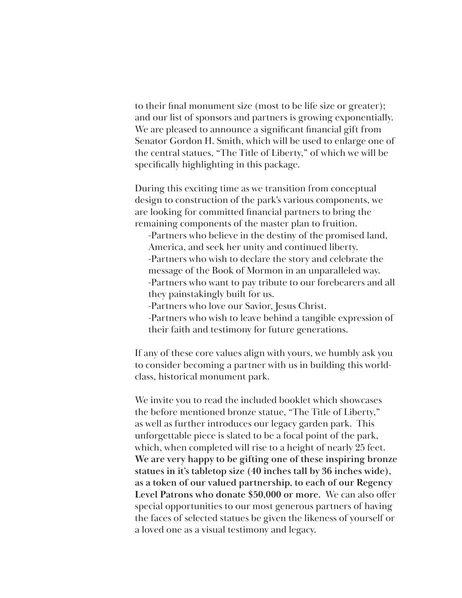to their final monument size (most to be life size or greater); and our list of sponsors and partners is growing exponentially. We are pleased to announce a significant financial gift from Senator Gordon H. Smith, which will be used to enlarge one of the central statues, "The Title of Liberty," of which we will be specifically highlighting in this package.

During this exciting time as we transition from conceptual design to construction of the park's various components, we are looking for committed financial partners to bring the remaining components of the master plan to fruition.

-Partners who believe in the destiny of the promised land, America, and seek her unity and continued liberty. -Partners who wish to declare the story and celebrate the message of the Book of Mormon in an unparalleled way. -Partners who want to pay tribute to our forebearers and all they painstakingly built for us.

- -Partners who love our Savior, Jesus Christ.
- -Partners who wish to leave behind a tangible expression of their faith and testimony for future generations.

If any of these core values align with yours, we humbly ask you to consider becoming a partner with us in building this worldclass, historical monument park.

We invite you to read the included booklet which showcases the before mentioned bronze statue, "The Title of Liberty," as well as further introduces our legacy garden park. This unforgettable piece is slated to be a focal point of the park, which, when completed will rise to a height of nearly 25 feet. **We are very happy to be gifting one of these inspiring bronze statues in it's tabletop size (40 inches tall by 36 inches wide), as a token of our valued partnership, to each of our Regency Level Patrons who donate \$50,000 or more.** We can also offer special opportunities to our most generous partners of having the faces of selected statues be given the likeness of yourself or a loved one as a visual testimony and legacy.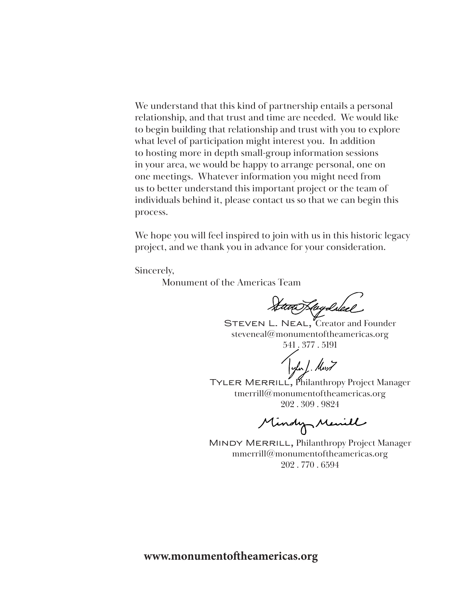We understand that this kind of partnership entails a personal relationship, and that trust and time are needed. We would like to begin building that relationship and trust with you to explore what level of participation might interest you. In addition to hosting more in depth small-group information sessions in your area, we would be happy to arrange personal, one on one meetings. Whatever information you might need from us to better understand this important project or the team of individuals behind it, please contact us so that we can begin this process.

We hope you will feel inspired to join with us in this historic legacy project, and we thank you in advance for your consideration.

Sincerely,

Monument of the Americas Team

Stan Kaydsleel

STEVEN L. NEAL, Creator and Founder steveneal@monumentoftheamericas.org 541 . 377 . 5191

TYLER MERRILL, Philanthropy Project Manager tmerrill@monumentoftheamericas.org 202 . 309 . 9824

Mindy Menill

MINDY MERRILL, Philanthropy Project Manager mmerrill@monumentoftheamericas.org 202 . 770 . 6594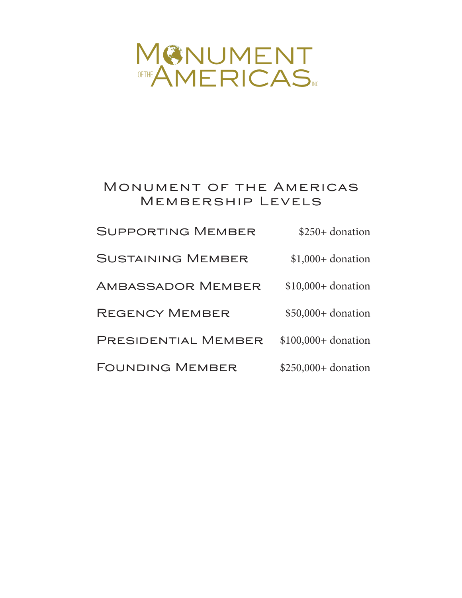# MONUMENT OFTHE AMERICAS

### Monument of the Americas Membership Levels

| <b>SUPPORTING MEMBER</b> | $$250+$ donation     |
|--------------------------|----------------------|
| <b>SUSTAINING MEMBER</b> | $$1,000+$ donation   |
| <b>AMBASSADOR MEMBER</b> | $$10,000+$ donation  |
| <b>REGENCY MEMBER</b>    | $$50,000+$ donation  |
| PRESIDENTIAL MEMBER      | $$100,000+$ donation |
| <b>FOUNDING MEMBER</b>   | $$250,000+$ donation |